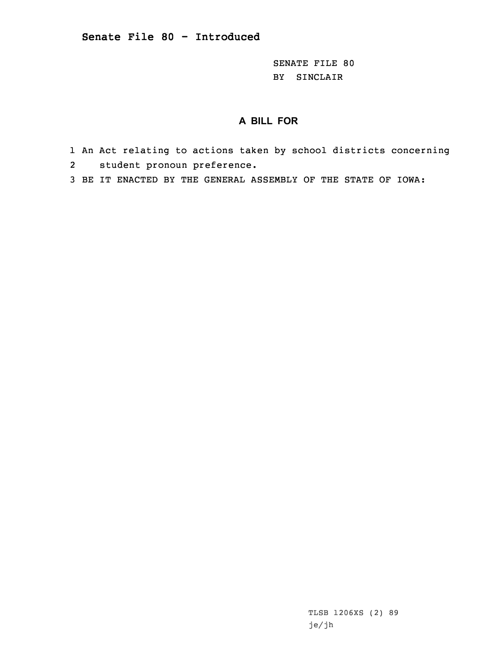SENATE FILE 80 BY SINCLAIR

## **A BILL FOR**

- 1 An Act relating to actions taken by school districts concerning 2student pronoun preference.
- 3 BE IT ENACTED BY THE GENERAL ASSEMBLY OF THE STATE OF IOWA:

TLSB 1206XS (2) 89 je/jh